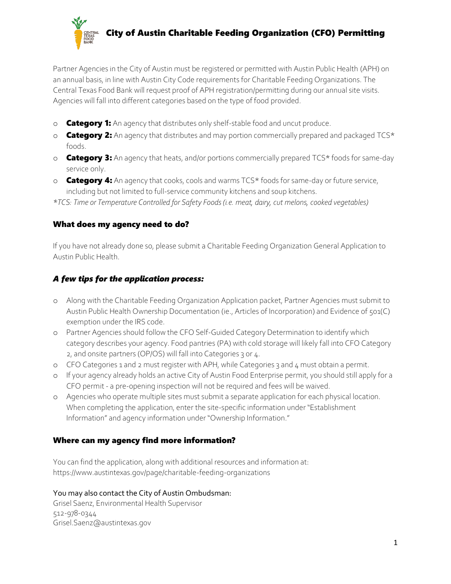

Partner Agencies in the City of Austin must be registered or permitted with Austin Public Health (APH) on an annual basis, in line with Austin City Code requirements for Charitable Feeding Organizations. The Central Texas Food Bank will request proof of APH registration/permitting during our annual site visits. Agencies will fall into different categories based on the type of food provided.

- o **Category 1:** An agency that distributes only shelf-stable food and uncut produce.
- o **Category 2:** An agency that distributes and may portion commercially prepared and packaged TCS\* foods.
- o **Category 3:** An agency that heats, and/or portions commercially prepared TCS\* foods for same-day service only.
- $\circ$  **Category 4:** An agency that cooks, cools and warms TCS $*$  foods for same-day or future service, including but not limited to full-service community kitchens and soup kitchens.

*\*TCS: Time or Temperature Controlled for Safety Foods (i.e. meat, dairy, cut melons, cooked vegetables)*

## What does my agency need to do?

If you have not already done so, please submit a Charitable Feeding Organization General Application to Austin Public Health.

# *A few tips for the application process:*

- o Along with the Charitable Feeding Organization Application packet, Partner Agencies must submit to Austin Public Health Ownership Documentation (ie., Articles of Incorporation) and Evidence of 501(C) exemption under the IRS code.
- o Partner Agencies should follow the CFO Self-Guided Category Determination to identify which category describes your agency. Food pantries (PA) with cold storage will likely fall into CFO Category 2, and onsite partners (OP/OS) will fall into Categories 3 or 4.
- o CFO Categories 1 and 2 must register with APH, while Categories 3 and 4 must obtain a permit.
- o If your agency already holds an active City of Austin Food Enterprise permit, you should still apply for a CFO permit - a pre-opening inspection will not be required and fees will be waived.
- o Agencies who operate multiple sites must submit a separate application for each physical location. When completing the application, enter the site-specific information under "Establishment Information" and agency information under "Ownership Information."

## Where can my agency find more information?

You can find the application, along with additional resources and information at: https://www.austintexas.gov/page/charitable-feeding-organizations

You may also contact the City of Austin Ombudsman:

Grisel Saenz, Environmental Health Supervisor 512-978-0344 [Grisel.Saenz@austintexas.gov](mailto:Grisel.saenz@austintexas.gov)